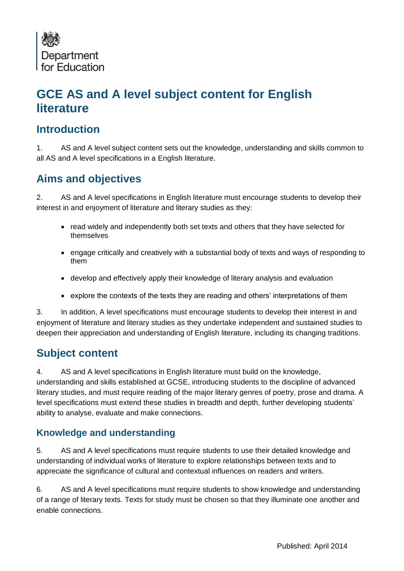

# **GCE AS and A level subject content for English literature**

### **Introduction**

1. AS and A level subject content sets out the knowledge, understanding and skills common to all AS and A level specifications in a English literature.

## **Aims and objectives**

2. AS and A level specifications in English literature must encourage students to develop their interest in and enjoyment of literature and literary studies as they:

- read widely and independently both set texts and others that they have selected for themselves
- engage critically and creatively with a substantial body of texts and ways of responding to them
- develop and effectively apply their knowledge of literary analysis and evaluation
- explore the contexts of the texts they are reading and others' interpretations of them

3. In addition, A level specifications must encourage students to develop their interest in and enjoyment of literature and literary studies as they undertake independent and sustained studies to deepen their appreciation and understanding of English literature, including its changing traditions.

### **Subject content**

4. AS and A level specifications in English literature must build on the knowledge, understanding and skills established at GCSE, introducing students to the discipline of advanced literary studies, and must require reading of the major literary genres of poetry, prose and drama. A level specifications must extend these studies in breadth and depth, further developing students' ability to analyse, evaluate and make connections.

#### **Knowledge and understanding**

5. AS and A level specifications must require students to use their detailed knowledge and understanding of individual works of literature to explore relationships between texts and to appreciate the significance of cultural and contextual influences on readers and writers.

6. AS and A level specifications must require students to show knowledge and understanding of a range of literary texts. Texts for study must be chosen so that they illuminate one another and enable connections.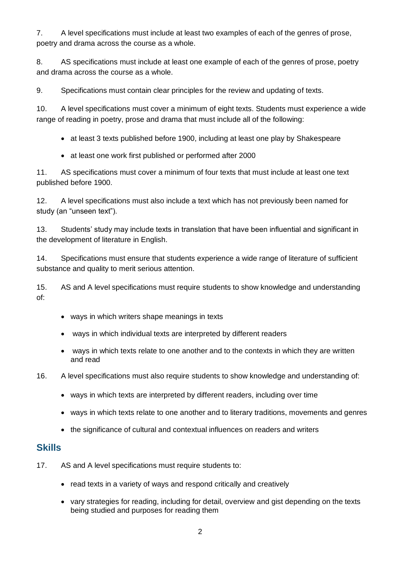7. A level specifications must include at least two examples of each of the genres of prose, poetry and drama across the course as a whole.

8. AS specifications must include at least one example of each of the genres of prose, poetry and drama across the course as a whole.

9. Specifications must contain clear principles for the review and updating of texts.

10. A level specifications must cover a minimum of eight texts. Students must experience a wide range of reading in poetry, prose and drama that must include all of the following:

- at least 3 texts published before 1900, including at least one play by Shakespeare
- at least one work first published or performed after 2000

11. AS specifications must cover a minimum of four texts that must include at least one text published before 1900.

12. A level specifications must also include a text which has not previously been named for study (an "unseen text").

13. Students' study may include texts in translation that have been influential and significant in the development of literature in English.

14. Specifications must ensure that students experience a wide range of literature of sufficient substance and quality to merit serious attention.

15. AS and A level specifications must require students to show knowledge and understanding of:

- ways in which writers shape meanings in texts
- ways in which individual texts are interpreted by different readers
- ways in which texts relate to one another and to the contexts in which they are written and read
- 16. A level specifications must also require students to show knowledge and understanding of:
	- ways in which texts are interpreted by different readers, including over time
	- ways in which texts relate to one another and to literary traditions, movements and genres
	- the significance of cultural and contextual influences on readers and writers

#### **Skills**

- 17. AS and A level specifications must require students to:
	- read texts in a variety of ways and respond critically and creatively
	- vary strategies for reading, including for detail, overview and gist depending on the texts being studied and purposes for reading them